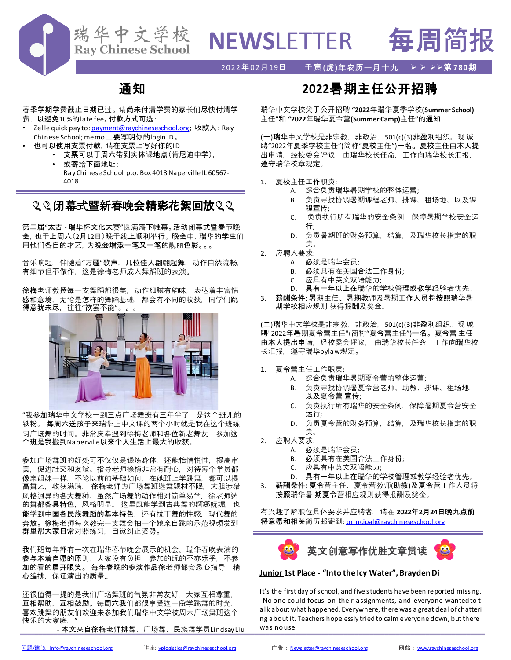

# **NEWS**LETTER 每周简报

### 2022年02月19日 壬寅**(虎)年农历一月十九** ➢ ➢ ➢➢第 **780**期

## 通知

春季学期学费截止日期已过。 请尚未付清学费的家长们尽快付清学 费, 以避免10%的late fee。付款方式可选:

- Zelle quick pay to: [payment@raychineseschool.org;](mailto:payment@raychineseschool.org) 收款人: Ray Chinese School; memo上要写明你的login ID。
	- 也可以使用支票付款,请在支票上写好你的ID
		- 支票可以于周六带到实体课地点(肯尼迪中学),
		- 或寄给下面地址: RayChinese School p.o. Box 4018 Naperville IL 60567- 4018

## ◎◎闭幕式暨新春晚会精彩花絮回放◎◎

第二届"太古 - 瑞华杯文化大赛"圆满落下帷幕。活动闭幕式暨春节晚 会,也于上周六(2月12日)晚于线上顺利举行。 晚会中,瑞华的学生们 用他们各自的才艺,为晚会增添一笔又一笔的靓丽色彩。。。

音乐响起,伴随着"万疆"歌声,几位佳人翩翩起舞,动作自然流畅, 有细节但不做作,这是徐梅老师成人舞蹈班的表演。

徐梅老师教授每一支舞蹈都很美,动作细腻有韵味,表达着丰富情 感和意境,无论是怎样的舞蹈基础,都会有不同的收获,同学们跳 得意犹未尽,往往"欲罢不能"。。。



"我参加瑞华中文学校一到三点广场舞班有三年半了,是这个班儿的 铁粉。 每周六送孩子来瑞华上中文课的两个小时就是我在这个班练 习广场舞的时间。非常庆幸遇到徐梅老师和各位新老舞友,参加这 个班是我搬到Naperville以来个人生活上最大的收获。

参加广场舞班的好处可不仅仅是锻炼身体,还能怡情悦性,提高审 美,促进社交和友谊。指导老师徐梅非常有耐心,对待每个学员都 像亲姐妹一样。不论以前的基础如何,在她班上学跳舞,都可以提 高舞艺,收获满满。 徐梅老师为广场舞班选舞题材不限,大胆涉猎 风格迥异的各大舞种。虽然广场舞的动作相对简单易学,徐老师选 的舞都各具特色, 风格明显。 这里既能学到古典舞的婀娜妩媚, 也 能学到中国各民族舞蹈的基本特色,还有拉丁舞的性感,现代舞的 奔放。徐梅老师每次教完一支舞会拍一个她亲自跳的示范视频发到 群里帮大家日常对照练习, 自觉纠正姿势。

我们班每年都有一次在瑞华春节晚会展示的机会。瑞华春晚表演的 参与本着自愿的原则,大家没有负担,参加的玩的不亦乐乎,不参 加的看的眉开眼笑。 每年春晚的参演作品徐老师都会悉心指导, 精 心编排,保证演出的质量..

还很值得一提的是我们广场舞班的气氛非常友好,大家互相尊重, 互相帮助,互相鼓励。每周六我们都很享受这一段学跳舞的时光。 喜欢跳舞的朋友们欢迎来参加我们瑞华中文学校周六广场舞班这个 快乐的大家庭。"

## **2022**暑期主任公开招聘

瑞华中文学校关于公开招聘 **"2022**年瑞华夏季学校**(Summer School)** 主任**"**和 **"2022**年瑞华夏令营**(Summer Camp)**主任**"**的通知

(一)瑞华中文学校是非宗教,非政治,501(c)(3)非盈利组织。现 诚 聘"2022年夏季学校主任"(简称"夏校主任")一名。夏校主任由本人提 出申请,经校委会评议,由瑞华校长任命,工作向瑞华校长汇报, 遵守瑞华校章规定。

- 1. 夏校主任工作职责:
	- A. 综合负责瑞华暑期学校的整体运营;
	- B. 负责寻找协调暑期课程老师、排课、租场地、以及课 程宣传;
	- C. 负责执行所有瑞华的安全条例,保障暑期学校安全运 行;
	- D. 负责暑期班的财务预算, 结算, 及瑞华校长指定的职 责。
- 2. 应聘人要求:
	- A. 必须是瑞华会员;
	- B. 必须具有在美国合法工作身份;
	- C. 应具有中英文双语能力;
	- D. 具有一年以上在瑞华的学校管理或教学经验者优先。
- 3. 薪酬条件: 暑期主任、暑期教师及暑期工作人员将按照瑞华暑 期学校相应规则 获得报酬及奖金。

(二)瑞华中文学校是非宗教,非政治,501(c)(3)非盈利组织。现 诚 聘"2022年暑期夏令营主任"(简称"夏令营主任")一名。夏令营 主任 由本人提出申请,经校委会评议, 由瑞华校长任命,工作向瑞华校 长汇报,遵守瑞华bylaw规定。

- 夏令营主任工作职责:
	- A. 综合负责瑞华暑期夏令营的整体运营;
	- B. 负责寻找协调暑夏令营老师、助教、排课、租场地, 以及夏令营 宣传;
	- C. 负责执行所有瑞华的安全条例,保障暑期夏令营安全 运行;
	- D. 负责夏令营的财务预算, 结算, 及瑞华校长指定的职 责。
- 2. 应聘人要求:
	- A. 必须是瑞华会员;
		- B. 必须具有在美国合法工作身份;
		- C. 应具有中英文双语能力;
	- D. 具有一年以上在瑞华的学校管理或教学经验者优先。
- 3. 薪酬条件: 夏令营主任、夏令营教师(助教)及夏令营工作人员将 按照瑞华暑 期夏令营相应规则获得报酬及奖金。

有兴趣了解职位具体要求并应聘者,请在 **2022**年**2**月**24**日晚九点前 将意愿和相关简历邮寄到: [principal@raychineseschool.org](mailto:principal@raychineseschool.org)



#### **Junior 1st Place - "Into the Icy Water", BraydenDi**

\_\_\_\_\_\_\_\_\_\_\_\_\_\_\_\_\_\_\_\_\_\_\_\_\_\_\_\_\_\_\_\_\_\_\_\_\_\_\_\_\_\_\_\_\_\_\_\_\_\_\_\_\_\_\_\_\_\_\_\_\_\_\_\_\_\_\_\_\_\_\_\_\_\_\_\_\_\_\_\_\_\_\_\_\_\_\_\_\_\_\_\_\_\_\_\_\_\_\_\_\_\_\_\_\_\_\_\_\_\_\_\_\_\_\_\_\_\_\_\_\_\_\_\_\_ - 本文来自徐梅老师排舞、广场舞、民族舞学员Lindsay Liu It's the first day of school, and five students have been reported missing. No one could focus on their assignments, and everyone wanted to t alk about what happened. Everywhere, there was a great deal of chatteri ng aboutit. Teachers hopelessly tried to calm everyone down, butthere was no use.